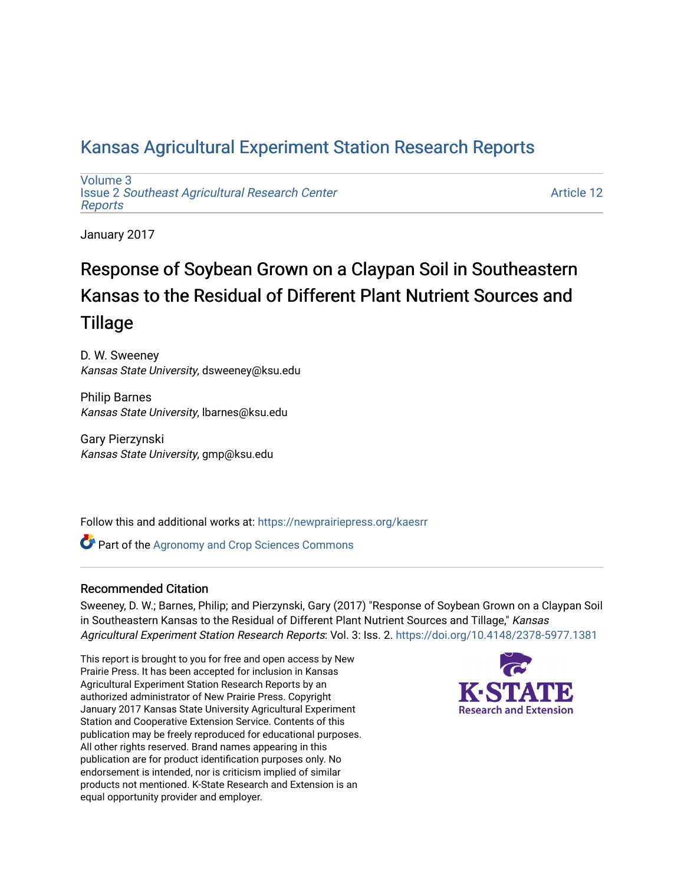# [Kansas Agricultural Experiment Station Research Reports](https://newprairiepress.org/kaesrr)

[Volume 3](https://newprairiepress.org/kaesrr/vol3) Issue 2 [Southeast Agricultural Research Center](https://newprairiepress.org/kaesrr/vol3/iss2) [Reports](https://newprairiepress.org/kaesrr/vol3/iss2)

[Article 12](https://newprairiepress.org/kaesrr/vol3/iss2/12) 

January 2017

# Response of Soybean Grown on a Claypan Soil in Southeastern Kansas to the Residual of Different Plant Nutrient Sources and **Tillage**

D. W. Sweeney Kansas State University, dsweeney@ksu.edu

Philip Barnes Kansas State University, lbarnes@ksu.edu

Gary Pierzynski Kansas State University, gmp@ksu.edu

Follow this and additional works at: [https://newprairiepress.org/kaesrr](https://newprairiepress.org/kaesrr?utm_source=newprairiepress.org%2Fkaesrr%2Fvol3%2Fiss2%2F12&utm_medium=PDF&utm_campaign=PDFCoverPages) 

**Part of the Agronomy and Crop Sciences Commons** 

### Recommended Citation

Sweeney, D. W.; Barnes, Philip; and Pierzynski, Gary (2017) "Response of Soybean Grown on a Claypan Soil in Southeastern Kansas to the Residual of Different Plant Nutrient Sources and Tillage," Kansas Agricultural Experiment Station Research Reports: Vol. 3: Iss. 2.<https://doi.org/10.4148/2378-5977.1381>

This report is brought to you for free and open access by New Prairie Press. It has been accepted for inclusion in Kansas Agricultural Experiment Station Research Reports by an authorized administrator of New Prairie Press. Copyright January 2017 Kansas State University Agricultural Experiment Station and Cooperative Extension Service. Contents of this publication may be freely reproduced for educational purposes. All other rights reserved. Brand names appearing in this publication are for product identification purposes only. No endorsement is intended, nor is criticism implied of similar products not mentioned. K-State Research and Extension is an equal opportunity provider and employer.

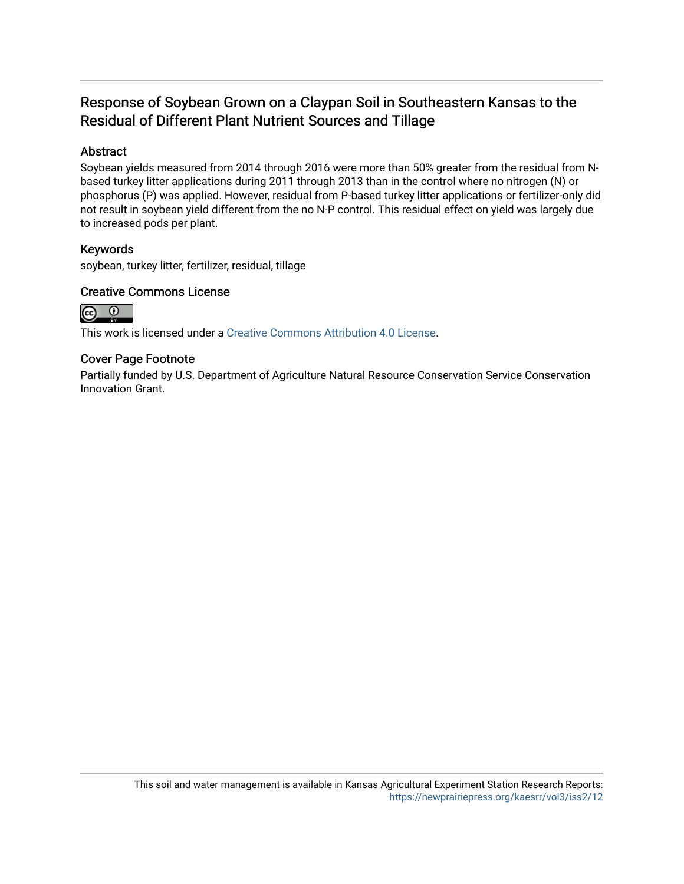# Response of Soybean Grown on a Claypan Soil in Southeastern Kansas to the Residual of Different Plant Nutrient Sources and Tillage

### Abstract

Soybean yields measured from 2014 through 2016 were more than 50% greater from the residual from Nbased turkey litter applications during 2011 through 2013 than in the control where no nitrogen (N) or phosphorus (P) was applied. However, residual from P-based turkey litter applications or fertilizer-only did not result in soybean yield different from the no N-P control. This residual effect on yield was largely due to increased pods per plant.

### Keywords

soybean, turkey litter, fertilizer, residual, tillage

### Creative Commons License



This work is licensed under a [Creative Commons Attribution 4.0 License](https://creativecommons.org/licenses/by/4.0/).

### Cover Page Footnote

Partially funded by U.S. Department of Agriculture Natural Resource Conservation Service Conservation Innovation Grant.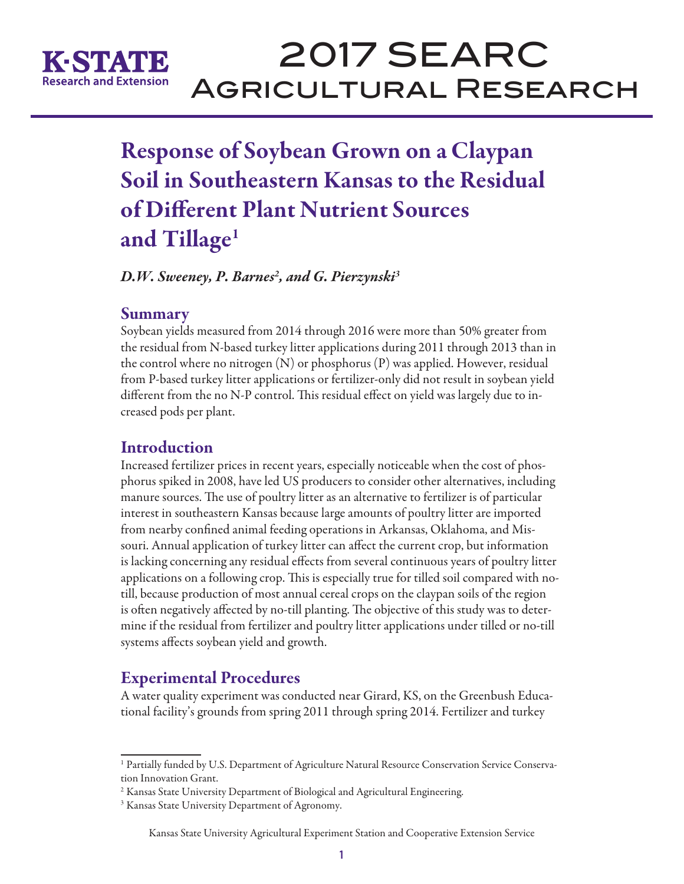

# 2017 SEARC Agricultural Research

# Response of Soybean Grown on a Claypan Soil in Southeastern Kansas to the Residual of Different Plant Nutrient Sources and Tillage<sup>1</sup>

*D.W. Sweeney, P. Barnes2 , and G. Pierzynski3*

## Summary

Soybean yields measured from 2014 through 2016 were more than 50% greater from the residual from N-based turkey litter applications during 2011 through 2013 than in the control where no nitrogen  $(N)$  or phosphorus  $(P)$  was applied. However, residual from P-based turkey litter applications or fertilizer-only did not result in soybean yield different from the no N-P control. This residual effect on yield was largely due to increased pods per plant.

# Introduction

Increased fertilizer prices in recent years, especially noticeable when the cost of phosphorus spiked in 2008, have led US producers to consider other alternatives, including manure sources. The use of poultry litter as an alternative to fertilizer is of particular interest in southeastern Kansas because large amounts of poultry litter are imported from nearby confined animal feeding operations in Arkansas, Oklahoma, and Missouri. Annual application of turkey litter can affect the current crop, but information is lacking concerning any residual effects from several continuous years of poultry litter applications on a following crop. This is especially true for tilled soil compared with notill, because production of most annual cereal crops on the claypan soils of the region is often negatively affected by no-till planting. The objective of this study was to determine if the residual from fertilizer and poultry litter applications under tilled or no-till systems affects soybean yield and growth.

# Experimental Procedures

A water quality experiment was conducted near Girard, KS, on the Greenbush Educational facility's grounds from spring 2011 through spring 2014. Fertilizer and turkey

#### Kansas State University Agricultural Experiment Station and Cooperative Extension Service

<sup>1</sup> Partially funded by U.S. Department of Agriculture Natural Resource Conservation Service Conservation Innovation Grant.

<sup>&</sup>lt;sup>2</sup> Kansas State University Department of Biological and Agricultural Engineering.

<sup>&</sup>lt;sup>3</sup> Kansas State University Department of Agronomy.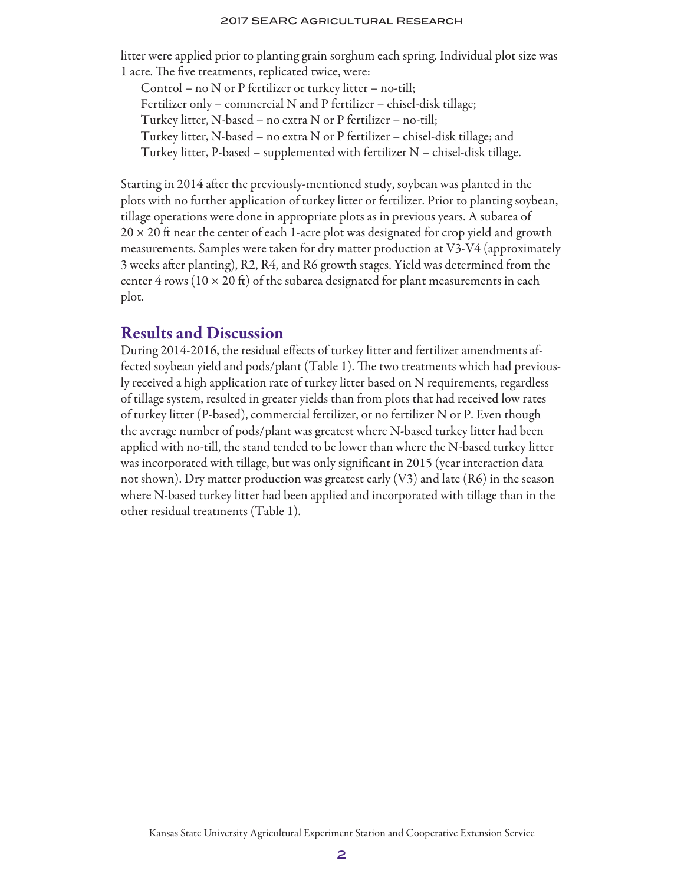#### 2017 SEARC Agricultural Research

litter were applied prior to planting grain sorghum each spring. Individual plot size was 1 acre. The five treatments, replicated twice, were:

Control – no N or P fertilizer or turkey litter – no-till; Fertilizer only – commercial N and P fertilizer – chisel-disk tillage; Turkey litter, N-based – no extra N or P fertilizer – no-till; Turkey litter, N-based – no extra N or P fertilizer – chisel-disk tillage; and Turkey litter, P-based – supplemented with fertilizer N – chisel-disk tillage.

Starting in 2014 after the previously-mentioned study, soybean was planted in the plots with no further application of turkey litter or fertilizer. Prior to planting soybean, tillage operations were done in appropriate plots as in previous years. A subarea of  $20 \times 20$  ft near the center of each 1-acre plot was designated for crop yield and growth measurements. Samples were taken for dry matter production at V3-V4 (approximately 3 weeks after planting), R2, R4, and R6 growth stages. Yield was determined from the center 4 rows ( $10 \times 20$  ft) of the subarea designated for plant measurements in each plot.

## Results and Discussion

During 2014-2016, the residual effects of turkey litter and fertilizer amendments affected soybean yield and pods/plant (Table 1). The two treatments which had previously received a high application rate of turkey litter based on N requirements, regardless of tillage system, resulted in greater yields than from plots that had received low rates of turkey litter (P-based), commercial fertilizer, or no fertilizer N or P. Even though the average number of pods/plant was greatest where N-based turkey litter had been applied with no-till, the stand tended to be lower than where the N-based turkey litter was incorporated with tillage, but was only significant in 2015 (year interaction data not shown). Dry matter production was greatest early (V3) and late (R6) in the season where N-based turkey litter had been applied and incorporated with tillage than in the other residual treatments (Table 1).